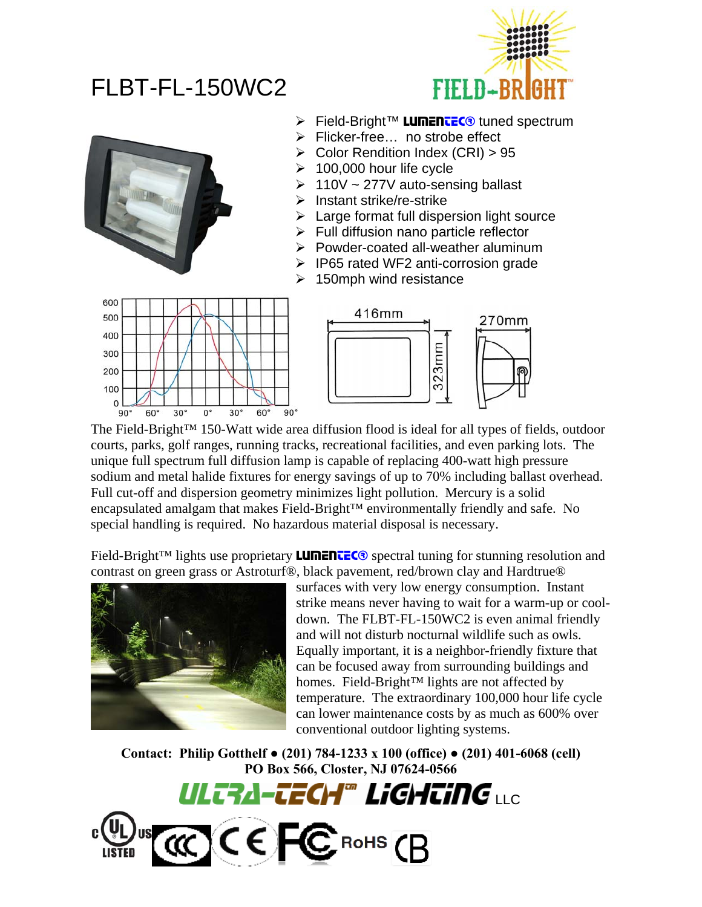## FLBT-FL-150WC2





- **Eield-Bright™ LUMENTEC®** tuned spectrum
- ¾ Flicker-free… no strobe effect
- $\triangleright$  Color Rendition Index (CRI) > 95
- 100,000 hour life cycle
- $\geq 110V \sim 277V$  auto-sensing ballast
- $\triangleright$  Instant strike/re-strike
- $\triangleright$  Large format full dispersion light source
- $\triangleright$  Full diffusion nano particle reflector
- $\triangleright$  Powder-coated all-weather aluminum
- ¾ IP65 rated WF2 anti-corrosion grade
- $\geq 150$ mph wind resistance





The Field-Bright™ 150-Watt wide area diffusion flood is ideal for all types of fields, outdoor courts, parks, golf ranges, running tracks, recreational facilities, and even parking lots. The unique full spectrum full diffusion lamp is capable of replacing 400-watt high pressure sodium and metal halide fixtures for energy savings of up to 70% including ballast overhead. Full cut-off and dispersion geometry minimizes light pollution. Mercury is a solid encapsulated amalgam that makes Field-Bright™ environmentally friendly and safe. No special handling is required. No hazardous material disposal is necessary.

Field-Bright™ lights use proprietary **LUMENTEC**<sup>®</sup> spectral tuning for stunning resolution and contrast on green grass or Astroturf®, black pavement, red/brown clay and Hardtrue®



surfaces with very low energy consumption. Instant strike means never having to wait for a warm-up or cooldown. The FLBT-FL-150WC2 is even animal friendly and will not disturb nocturnal wildlife such as owls. Equally important, it is a neighbor-friendly fixture that can be focused away from surrounding buildings and homes. Field-Bright™ lights are not affected by temperature. The extraordinary 100,000 hour life cycle can lower maintenance costs by as much as 600% over conventional outdoor lighting systems.

**Contact: Philip Gotthelf ● (201) 784-1233 x 100 (office) ● (201) 401-6068 (cell) PO Box 566, Closter, NJ 07624-0566**